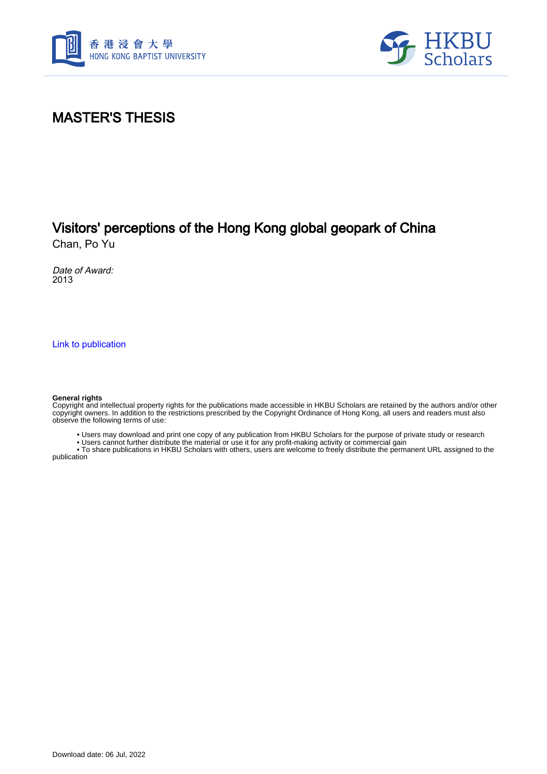



## MASTER'S THESIS

# Visitors' perceptions of the Hong Kong global geopark of China

Chan, Po Yu

Date of Award: 2013

[Link to publication](https://scholars.hkbu.edu.hk/en/studentTheses/f7971479-7a0d-44d3-9524-5b045b5e7810)

#### **General rights**

Copyright and intellectual property rights for the publications made accessible in HKBU Scholars are retained by the authors and/or other copyright owners. In addition to the restrictions prescribed by the Copyright Ordinance of Hong Kong, all users and readers must also observe the following terms of use:

• Users may download and print one copy of any publication from HKBU Scholars for the purpose of private study or research

• Users cannot further distribute the material or use it for any profit-making activity or commercial gain

 • To share publications in HKBU Scholars with others, users are welcome to freely distribute the permanent URL assigned to the publication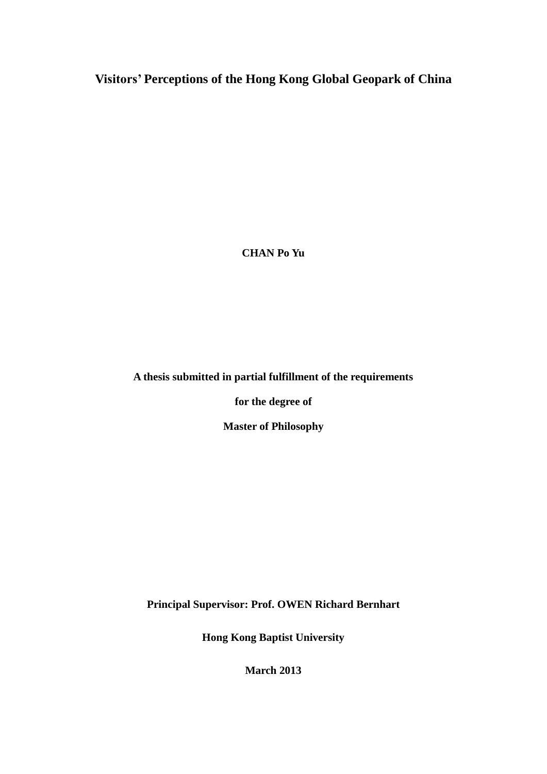**Visitors' Perceptions of the Hong Kong Global Geopark of China**

**CHAN Po Yu**

**A thesis submitted in partial fulfillment of the requirements** 

**for the degree of** 

**Master of Philosophy**

**Principal Supervisor: Prof. OWEN Richard Bernhart**

**Hong Kong Baptist University**

**March 2013**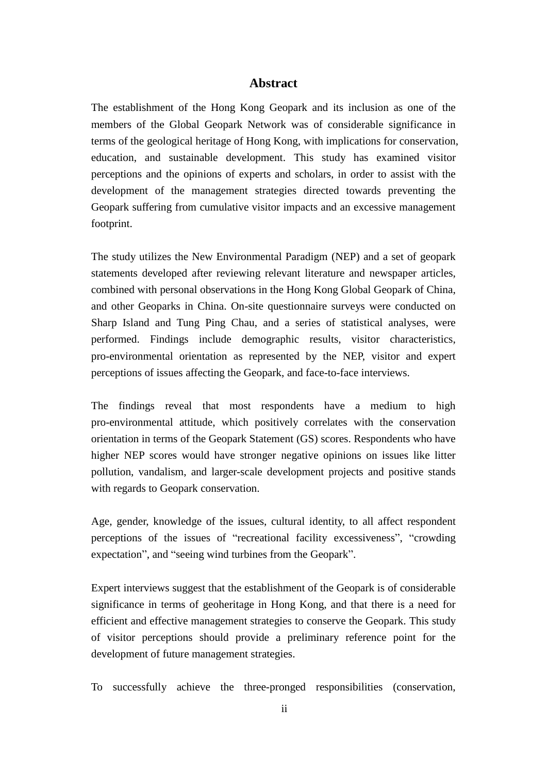### **Abstract**

<span id="page-2-0"></span>The establishment of the Hong Kong Geopark and its inclusion as one of the members of the Global Geopark Network was of considerable significance in terms of the geological heritage of Hong Kong, with implications for conservation, education, and sustainable development. This study has examined visitor perceptions and the opinions of experts and scholars, in order to assist with the development of the management strategies directed towards preventing the Geopark suffering from cumulative visitor impacts and an excessive management footprint.

The study utilizes the New Environmental Paradigm (NEP) and a set of geopark statements developed after reviewing relevant literature and newspaper articles, combined with personal observations in the Hong Kong Global Geopark of China, and other Geoparks in China. On-site questionnaire surveys were conducted on Sharp Island and Tung Ping Chau, and a series of statistical analyses, were performed. Findings include demographic results, visitor characteristics, pro-environmental orientation as represented by the NEP, visitor and expert perceptions of issues affecting the Geopark, and face-to-face interviews.

The findings reveal that most respondents have a medium to high pro-environmental attitude, which positively correlates with the conservation orientation in terms of the Geopark Statement (GS) scores. Respondents who have higher NEP scores would have stronger negative opinions on issues like litter pollution, vandalism, and larger-scale development projects and positive stands with regards to Geopark conservation.

Age, gender, knowledge of the issues, cultural identity, to all affect respondent perceptions of the issues of "recreational facility excessiveness", "crowding expectation", and "seeing wind turbines from the Geopark".

Expert interviews suggest that the establishment of the Geopark is of considerable significance in terms of geoheritage in Hong Kong, and that there is a need for efficient and effective management strategies to conserve the Geopark. This study of visitor perceptions should provide a preliminary reference point for the development of future management strategies.

To successfully achieve the three-pronged responsibilities (conservation,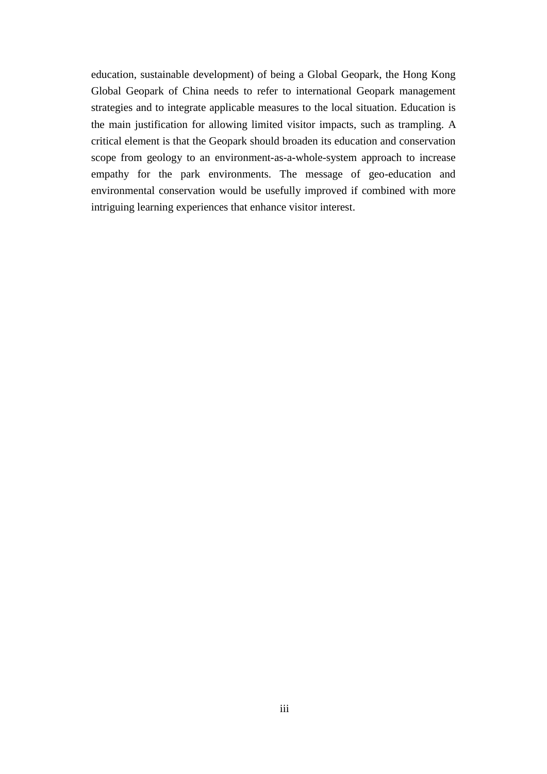education, sustainable development) of being a Global Geopark, the Hong Kong Global Geopark of China needs to refer to international Geopark management strategies and to integrate applicable measures to the local situation. Education is the main justification for allowing limited visitor impacts, such as trampling. A critical element is that the Geopark should broaden its education and conservation scope from geology to an environment-as-a-whole-system approach to increase empathy for the park environments. The message of geo-education and environmental conservation would be usefully improved if combined with more intriguing learning experiences that enhance visitor interest.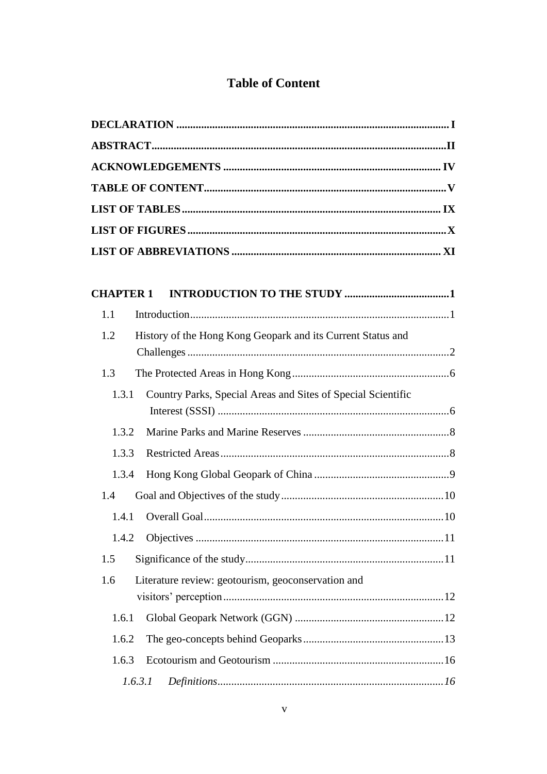## **Table of Content**

<span id="page-4-0"></span>

| <b>CHAPTER 1</b>                                                      |  |
|-----------------------------------------------------------------------|--|
| 1.1                                                                   |  |
| 1.2<br>History of the Hong Kong Geopark and its Current Status and    |  |
| 1.3                                                                   |  |
| Country Parks, Special Areas and Sites of Special Scientific<br>1.3.1 |  |
| 1.3.2                                                                 |  |
| 1.3.3                                                                 |  |
| 1.3.4                                                                 |  |
| 1.4                                                                   |  |
| 1.4.1                                                                 |  |
| 1.4.2                                                                 |  |
| 1.5                                                                   |  |
| Literature review: geotourism, geoconservation and<br>1.6             |  |
| 1.6.1                                                                 |  |
| 1.6.2                                                                 |  |
| 1.6.3                                                                 |  |
| 1.6.3.1                                                               |  |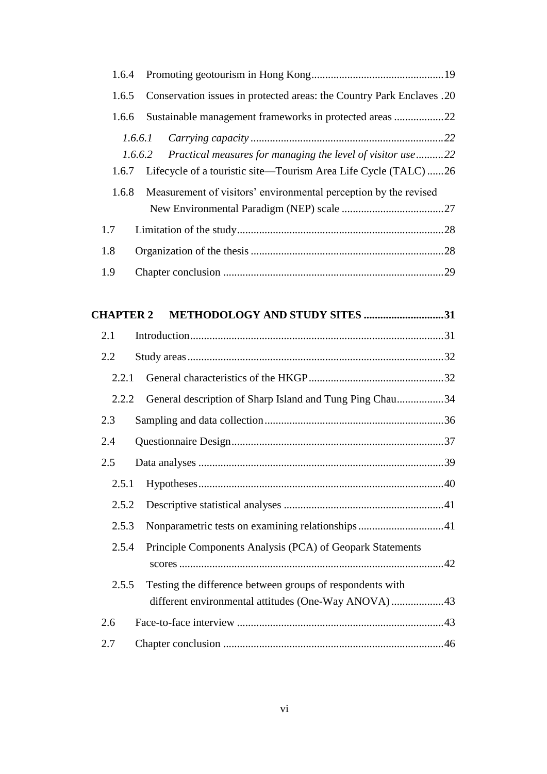| 1.6.4            |                                                                       |  |
|------------------|-----------------------------------------------------------------------|--|
| 1.6.5            | Conservation issues in protected areas: the Country Park Enclaves .20 |  |
| 1.6.6            | Sustainable management frameworks in protected areas 22               |  |
|                  | 1.6.6.1                                                               |  |
|                  | Practical measures for managing the level of visitor use22<br>1.6.6.2 |  |
| 1.6.7            | Lifecycle of a touristic site-Tourism Area Life Cycle (TALC) 26       |  |
| 1.6.8            | Measurement of visitors' environmental perception by the revised      |  |
|                  |                                                                       |  |
| 1.7              |                                                                       |  |
| 1.8              |                                                                       |  |
| 1.9              |                                                                       |  |
|                  |                                                                       |  |
| <b>CHAPTER 2</b> | METHODOLOGY AND STUDY SITES 31                                        |  |
| 2.1              |                                                                       |  |
| 2.2              |                                                                       |  |
| 2.2.1            |                                                                       |  |
| 2.2.2            | General description of Sharp Island and Tung Ping Chau34              |  |
| 2.3              |                                                                       |  |
| 2.4              |                                                                       |  |
| 2.5              |                                                                       |  |
| 2.5.1            |                                                                       |  |
| 2.5.2            |                                                                       |  |
| 2.5.3            | Nonparametric tests on examining relationships41                      |  |
| 2.5.4            | Principle Components Analysis (PCA) of Geopark Statements             |  |
|                  |                                                                       |  |
| 2.5.5            | Testing the difference between groups of respondents with             |  |
|                  | different environmental attitudes (One-Way ANOVA)43                   |  |
|                  |                                                                       |  |
| 2.6              |                                                                       |  |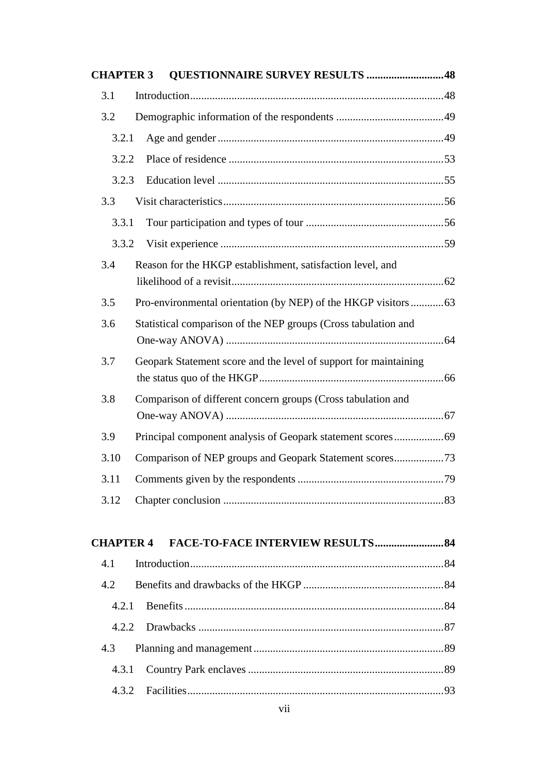| <b>CHAPTER 3</b> | <b>QUESTIONNAIRE SURVEY RESULTS 48</b>                           |  |
|------------------|------------------------------------------------------------------|--|
| 3.1              |                                                                  |  |
| 3.2              |                                                                  |  |
| 3.2.1            |                                                                  |  |
| 3.2.2            |                                                                  |  |
| 3.2.3            |                                                                  |  |
| 3.3              |                                                                  |  |
| 3.3.1            |                                                                  |  |
| 3.3.2            |                                                                  |  |
| 3.4              | Reason for the HKGP establishment, satisfaction level, and       |  |
| 3.5              | Pro-environmental orientation (by NEP) of the HKGP visitors  63  |  |
| 3.6              | Statistical comparison of the NEP groups (Cross tabulation and   |  |
| 3.7              | Geopark Statement score and the level of support for maintaining |  |
| 3.8              | Comparison of different concern groups (Cross tabulation and     |  |
| 3.9              |                                                                  |  |
| 3.10             |                                                                  |  |
| 3.11             |                                                                  |  |
| 3.12             |                                                                  |  |
| <b>CHAPTER 4</b> |                                                                  |  |
| 4.1              |                                                                  |  |
| 4.2              |                                                                  |  |
| 4.2.1            |                                                                  |  |
| 4.2.2            |                                                                  |  |
| 4.3              |                                                                  |  |

4.3.1 Country Park enclaves .......................................................................89 4.3.2 Facilities.............................................................................................93